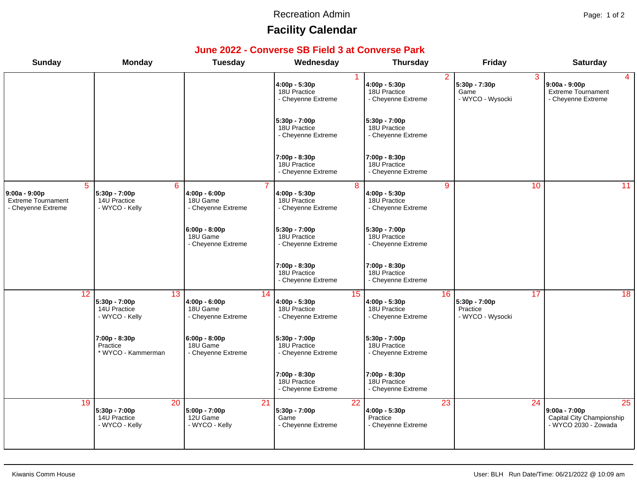#### Recreation Admin **Page: 1 of 2**

# **Facility Calendar**

### **June 2022 - Converse SB Field 3 at Converse Park**

| <b>Sunday</b>                                                                      | <b>Monday</b>                                                      | <b>Tuesday</b>                                                 | Wednesday                                                             | <b>Thursday</b>                                                       | <b>Friday</b>                                       | <b>Saturday</b>                                                             |
|------------------------------------------------------------------------------------|--------------------------------------------------------------------|----------------------------------------------------------------|-----------------------------------------------------------------------|-----------------------------------------------------------------------|-----------------------------------------------------|-----------------------------------------------------------------------------|
|                                                                                    |                                                                    |                                                                | 4:00p - 5:30p<br>18U Practice<br>- Cheyenne Extreme                   | $\overline{2}$<br>4:00p - 5:30p<br>18U Practice<br>- Cheyenne Extreme | 3<br>5:30p - 7:30p<br>Game<br>- WYCO - Wysocki      | $\overline{4}$<br>9:00a - 9:00p<br>Extreme Tournament<br>- Cheyenne Extreme |
|                                                                                    |                                                                    |                                                                | 5:30p - 7:00p<br>18U Practice<br>- Cheyenne Extreme                   | 5:30p - 7:00p<br>18U Practice<br>- Cheyenne Extreme                   |                                                     |                                                                             |
|                                                                                    |                                                                    |                                                                | 7:00p - 8:30p<br>18U Practice<br>- Cheyenne Extreme                   | 7:00p - 8:30p<br>18U Practice<br>- Cheyenne Extreme                   |                                                     |                                                                             |
| $\overline{5}$<br>9:00a - 9:00p<br><b>Extreme Tournament</b><br>- Cheyenne Extreme | 6<br>5:30p - 7:00p<br>14U Practice<br>- WYCO - Kelly               | 4:00p - 6:00p<br>18U Game<br>- Cheyenne Extreme                | $\overline{8}$<br>4:00p - 5:30p<br>18U Practice<br>- Cheyenne Extreme | $\overline{9}$<br>4:00p - 5:30p<br>18U Practice<br>- Cheyenne Extreme | 10                                                  | $\overline{11}$                                                             |
|                                                                                    |                                                                    | $6:00p - 8:00p$<br>18U Game<br>- Cheyenne Extreme              | $5:30p - 7:00p$<br>18U Practice<br>- Cheyenne Extreme                 | 5:30p - 7:00p<br>18U Practice<br>- Cheyenne Extreme                   |                                                     |                                                                             |
|                                                                                    |                                                                    |                                                                | 7:00p - 8:30p<br>18U Practice<br>- Cheyenne Extreme                   | 7:00p - 8:30p<br>18U Practice<br>- Cheyenne Extreme                   |                                                     |                                                                             |
| 12                                                                                 | 13<br>5:30p - 7:00p<br>14U Practice<br>- WYCO - Kelly              | 14<br>4:00p - 6:00p<br>18U Game<br>- Cheyenne Extreme          | 15<br>4:00p - 5:30p<br>18U Practice<br>- Cheyenne Extreme             | 16<br>4:00p - 5:30p<br>18U Practice<br>- Cheyenne Extreme             | 17<br>5:30p - 7:00p<br>Practice<br>- WYCO - Wysocki | 18                                                                          |
|                                                                                    | 7:00p - 8:30p<br>Practice<br>* WYCO - Kammerman                    | 6:00p - 8:00p<br>18U Game<br>- Cheyenne Extreme                | 5:30p - 7:00p<br>18U Practice<br>- Cheyenne Extreme                   | 5:30p - 7:00p<br>18U Practice<br>- Cheyenne Extreme                   |                                                     |                                                                             |
|                                                                                    |                                                                    |                                                                | 7:00p - 8:30p<br>18U Practice<br>- Cheyenne Extreme                   | 7:00p - 8:30p<br>18U Practice<br>- Cheyenne Extreme                   |                                                     |                                                                             |
| 19                                                                                 | $\overline{20}$<br>5:30p - 7:00p<br>14U Practice<br>- WYCO - Kelly | $\overline{21}$<br>5:00p - 7:00p<br>12U Game<br>- WYCO - Kelly | 22<br>5:30p - 7:00p<br>Game<br>- Cheyenne Extreme                     | $\overline{23}$<br>$4:00p - 5:30p$<br>Practice<br>- Cheyenne Extreme  | $\overline{24}$                                     | 25<br>$9:00a - 7:00p$<br>Capital City Championship<br>- WYCO 2030 - Zowada  |